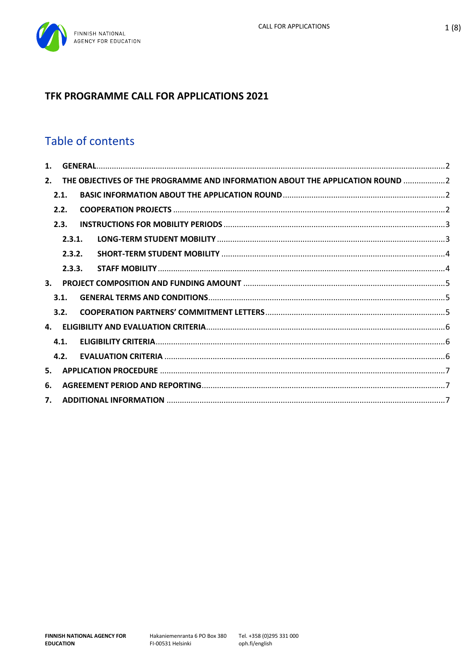# TFK PROGRAMME CALL FOR APPLICATIONS 2021

# Table of contents

| $\mathbf{1}$ . |      |        |                                                                               |  |
|----------------|------|--------|-------------------------------------------------------------------------------|--|
| 2.             |      |        | THE OBJECTIVES OF THE PROGRAMME AND INFORMATION ABOUT THE APPLICATION ROUND 2 |  |
|                | 2.1. |        |                                                                               |  |
|                | 2.2. |        |                                                                               |  |
|                | 2.3. |        |                                                                               |  |
|                |      | 2.3.1. |                                                                               |  |
|                |      | 2.3.2. |                                                                               |  |
|                |      | 2.3.3. |                                                                               |  |
| $\mathbf{3}$ . |      |        |                                                                               |  |
|                | 3.1. |        |                                                                               |  |
|                | 3.2. |        |                                                                               |  |
|                |      |        |                                                                               |  |
|                | 4.1. |        |                                                                               |  |
|                | 4.2. |        |                                                                               |  |
| 5.             |      |        |                                                                               |  |
| 6.             |      |        |                                                                               |  |
| 7.             |      |        |                                                                               |  |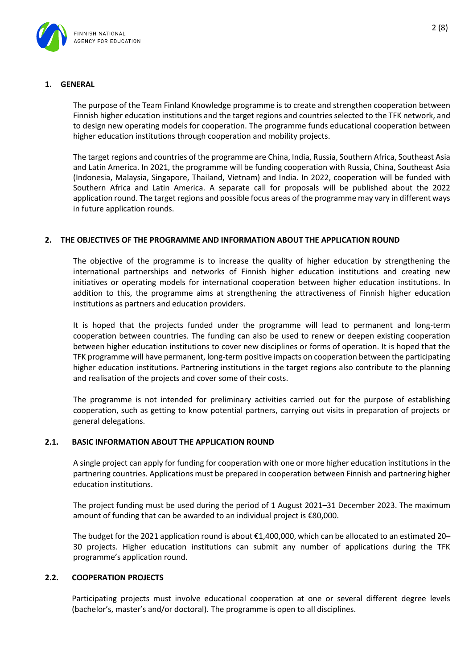

## <span id="page-1-0"></span>**1. GENERAL**

The purpose of the Team Finland Knowledge programme is to create and strengthen cooperation between Finnish higher education institutions and the target regions and countries selected to the TFK network, and to design new operating models for cooperation. The programme funds educational cooperation between higher education institutions through cooperation and mobility projects.

The target regions and countries of the programme are China, India, Russia, Southern Africa, Southeast Asia and Latin America. In 2021, the programme will be funding cooperation with Russia, China, Southeast Asia (Indonesia, Malaysia, Singapore, Thailand, Vietnam) and India. In 2022, cooperation will be funded with Southern Africa and Latin America. A separate call for proposals will be published about the 2022 application round. The target regions and possible focus areas of the programme may vary in different ways in future application rounds.

#### <span id="page-1-1"></span>**2. THE OBJECTIVES OF THE PROGRAMME AND INFORMATION ABOUT THE APPLICATION ROUND**

The objective of the programme is to increase the quality of higher education by strengthening the international partnerships and networks of Finnish higher education institutions and creating new initiatives or operating models for international cooperation between higher education institutions. In addition to this, the programme aims at strengthening the attractiveness of Finnish higher education institutions as partners and education providers.

It is hoped that the projects funded under the programme will lead to permanent and long-term cooperation between countries. The funding can also be used to renew or deepen existing cooperation between higher education institutions to cover new disciplines or forms of operation. It is hoped that the TFK programme will have permanent, long-term positive impacts on cooperation between the participating higher education institutions. Partnering institutions in the target regions also contribute to the planning and realisation of the projects and cover some of their costs.

The programme is not intended for preliminary activities carried out for the purpose of establishing cooperation, such as getting to know potential partners, carrying out visits in preparation of projects or general delegations.

#### <span id="page-1-2"></span>**2.1. BASIC INFORMATION ABOUT THE APPLICATION ROUND**

A single project can apply for funding for cooperation with one or more higher education institutions in the partnering countries. Applications must be prepared in cooperation between Finnish and partnering higher education institutions.

The project funding must be used during the period of 1 August 2021–31 December 2023. The maximum amount of funding that can be awarded to an individual project is €80,000.

The budget for the 2021 application round is about €1,400,000, which can be allocated to an estimated 20– 30 projects. Higher education institutions can submit any number of applications during the TFK programme's application round.

#### <span id="page-1-3"></span>**2.2. COOPERATION PROJECTS**

Participating projects must involve educational cooperation at one or several different degree levels (bachelor's, master's and/or doctoral). The programme is open to all disciplines.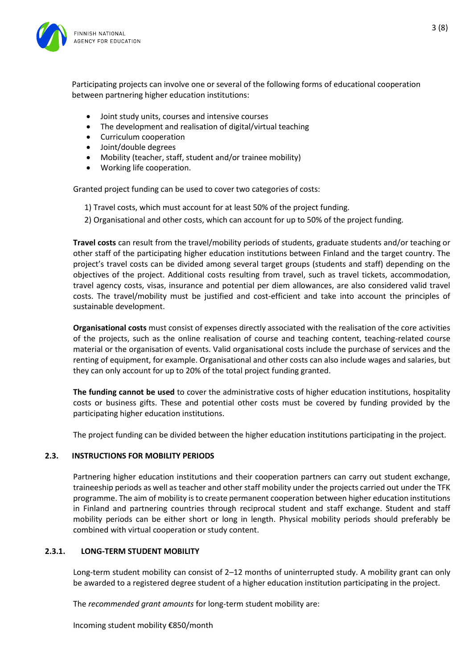

Participating projects can involve one or several of the following forms of educational cooperation between partnering higher education institutions:

- Joint study units, courses and intensive courses
- The development and realisation of digital/virtual teaching
- Curriculum cooperation
- Joint/double degrees
- Mobility (teacher, staff, student and/or trainee mobility)
- Working life cooperation.

Granted project funding can be used to cover two categories of costs:

- 1) Travel costs, which must account for at least 50% of the project funding.
- 2) Organisational and other costs, which can account for up to 50% of the project funding.

**Travel costs** can result from the travel/mobility periods of students, graduate students and/or teaching or other staff of the participating higher education institutions between Finland and the target country. The project's travel costs can be divided among several target groups (students and staff) depending on the objectives of the project. Additional costs resulting from travel, such as travel tickets, accommodation, travel agency costs, visas, insurance and potential per diem allowances, are also considered valid travel costs. The travel/mobility must be justified and cost-efficient and take into account the principles of sustainable development.

**Organisational costs** must consist of expenses directly associated with the realisation of the core activities of the projects, such as the online realisation of course and teaching content, teaching-related course material or the organisation of events. Valid organisational costs include the purchase of services and the renting of equipment, for example. Organisational and other costs can also include wages and salaries, but they can only account for up to 20% of the total project funding granted.

**The funding cannot be used** to cover the administrative costs of higher education institutions, hospitality costs or business gifts. These and potential other costs must be covered by funding provided by the participating higher education institutions.

The project funding can be divided between the higher education institutions participating in the project.

# <span id="page-2-0"></span>**2.3. INSTRUCTIONS FOR MOBILITY PERIODS**

Partnering higher education institutions and their cooperation partners can carry out student exchange, traineeship periods as well as teacher and other staff mobility under the projects carried out under the TFK programme. The aim of mobility is to create permanent cooperation between higher education institutions in Finland and partnering countries through reciprocal student and staff exchange. Student and staff mobility periods can be either short or long in length. Physical mobility periods should preferably be combined with virtual cooperation or study content.

#### <span id="page-2-1"></span>**2.3.1. LONG-TERM STUDENT MOBILITY**

Long-term student mobility can consist of 2–12 months of uninterrupted study. A mobility grant can only be awarded to a registered degree student of a higher education institution participating in the project.

The *recommended grant amounts* for long-term student mobility are:

Incoming student mobility €850/month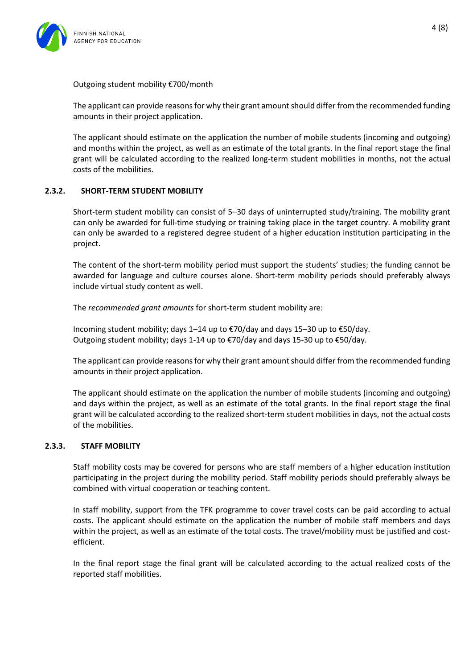

Outgoing student mobility €700/month

The applicant can provide reasons for why their grant amount should differ from the recommended funding amounts in their project application.

The applicant should estimate on the application the number of mobile students (incoming and outgoing) and months within the project, as well as an estimate of the total grants. In the final report stage the final grant will be calculated according to the realized long-term student mobilities in months, not the actual costs of the mobilities.

## <span id="page-3-0"></span>**2.3.2. SHORT-TERM STUDENT MOBILITY**

Short-term student mobility can consist of 5–30 days of uninterrupted study/training. The mobility grant can only be awarded for full-time studying or training taking place in the target country. A mobility grant can only be awarded to a registered degree student of a higher education institution participating in the project.

The content of the short-term mobility period must support the students' studies; the funding cannot be awarded for language and culture courses alone. Short-term mobility periods should preferably always include virtual study content as well.

The *recommended grant amounts* for short-term student mobility are:

Incoming student mobility; days 1–14 up to €70/day and days 15–30 up to €50/day. Outgoing student mobility; days 1-14 up to €70/day and days 15-30 up to €50/day.

The applicant can provide reasons for why their grant amount should differ from the recommended funding amounts in their project application.

The applicant should estimate on the application the number of mobile students (incoming and outgoing) and days within the project, as well as an estimate of the total grants. In the final report stage the final grant will be calculated according to the realized short-term student mobilities in days, not the actual costs of the mobilities.

#### <span id="page-3-1"></span>**2.3.3. STAFF MOBILITY**

Staff mobility costs may be covered for persons who are staff members of a higher education institution participating in the project during the mobility period. Staff mobility periods should preferably always be combined with virtual cooperation or teaching content.

In staff mobility, support from the TFK programme to cover travel costs can be paid according to actual costs. The applicant should estimate on the application the number of mobile staff members and days within the project, as well as an estimate of the total costs. The travel/mobility must be justified and costefficient.

In the final report stage the final grant will be calculated according to the actual realized costs of the reported staff mobilities.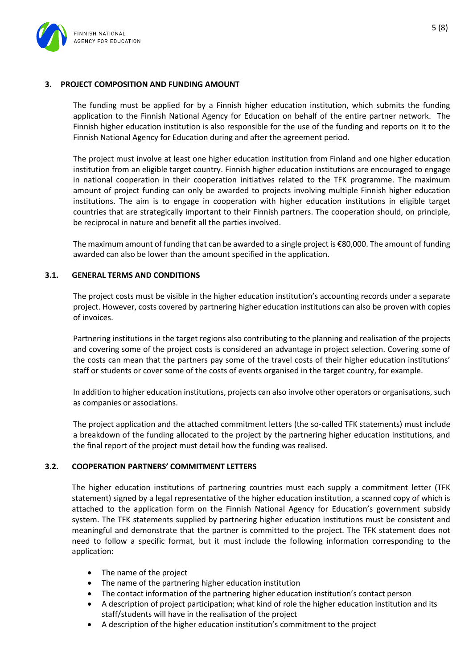

# <span id="page-4-0"></span>**3. PROJECT COMPOSITION AND FUNDING AMOUNT**

The funding must be applied for by a Finnish higher education institution, which submits the funding application to the Finnish National Agency for Education on behalf of the entire partner network. The Finnish higher education institution is also responsible for the use of the funding and reports on it to the Finnish National Agency for Education during and after the agreement period.

The project must involve at least one higher education institution from Finland and one higher education institution from an eligible target country. Finnish higher education institutions are encouraged to engage in national cooperation in their cooperation initiatives related to the TFK programme. The maximum amount of project funding can only be awarded to projects involving multiple Finnish higher education institutions. The aim is to engage in cooperation with higher education institutions in eligible target countries that are strategically important to their Finnish partners. The cooperation should, on principle, be reciprocal in nature and benefit all the parties involved.

The maximum amount of funding that can be awarded to a single project is €80,000. The amount of funding awarded can also be lower than the amount specified in the application.

#### <span id="page-4-1"></span>**3.1. GENERAL TERMS AND CONDITIONS**

The project costs must be visible in the higher education institution's accounting records under a separate project. However, costs covered by partnering higher education institutions can also be proven with copies of invoices.

Partnering institutions in the target regions also contributing to the planning and realisation of the projects and covering some of the project costs is considered an advantage in project selection. Covering some of the costs can mean that the partners pay some of the travel costs of their higher education institutions' staff or students or cover some of the costs of events organised in the target country, for example.

In addition to higher education institutions, projects can also involve other operators or organisations, such as companies or associations.

The project application and the attached commitment letters (the so-called TFK statements) must include a breakdown of the funding allocated to the project by the partnering higher education institutions, and the final report of the project must detail how the funding was realised.

#### <span id="page-4-2"></span>**3.2. COOPERATION PARTNERS' COMMITMENT LETTERS**

The higher education institutions of partnering countries must each supply a commitment letter (TFK statement) signed by a legal representative of the higher education institution, a scanned copy of which is attached to the application form on the Finnish National Agency for Education's government subsidy system. The TFK statements supplied by partnering higher education institutions must be consistent and meaningful and demonstrate that the partner is committed to the project. The TFK statement does not need to follow a specific format, but it must include the following information corresponding to the application:

- The name of the project
- The name of the partnering higher education institution
- The contact information of the partnering higher education institution's contact person
- A description of project participation; what kind of role the higher education institution and its staff/students will have in the realisation of the project
- A description of the higher education institution's commitment to the project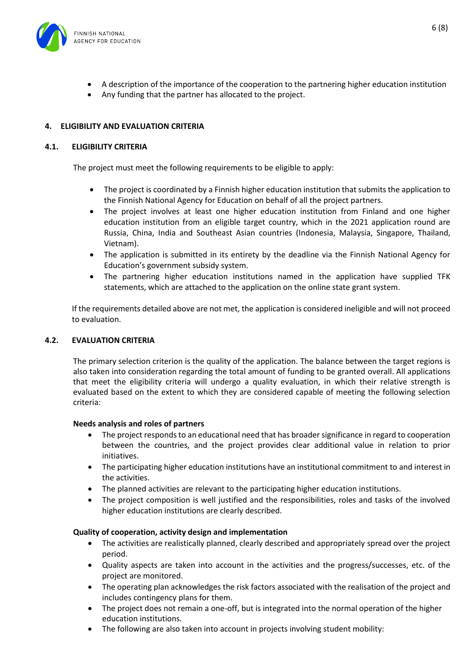

- A description of the importance of the cooperation to the partnering higher education institution
- Any funding that the partner has allocated to the project.

# <span id="page-5-0"></span>**4. ELIGIBILITY AND EVALUATION CRITERIA**

# <span id="page-5-1"></span>**4.1. ELIGIBILITY CRITERIA**

The project must meet the following requirements to be eligible to apply:

- The project is coordinated by a Finnish higher education institution that submits the application to the Finnish National Agency for Education on behalf of all the project partners.
- The project involves at least one higher education institution from Finland and one higher education institution from an eligible target country, which in the 2021 application round are Russia, China, India and Southeast Asian countries (Indonesia, Malaysia, Singapore, Thailand, Vietnam).
- The application is submitted in its entirety by the deadline via the Finnish National Agency for Education's government subsidy system.
- The partnering higher education institutions named in the application have supplied TFK statements, which are attached to the application on the online state grant system.

If the requirements detailed above are not met, the application is considered ineligible and will not proceed to evaluation.

# <span id="page-5-2"></span>**4.2. EVALUATION CRITERIA**

The primary selection criterion is the quality of the application. The balance between the target regions is also taken into consideration regarding the total amount of funding to be granted overall. All applications that meet the eligibility criteria will undergo a quality evaluation, in which their relative strength is evaluated based on the extent to which they are considered capable of meeting the following selection criteria:

#### **Needs analysis and roles of partners**

- The project responds to an educational need that has broader significance in regard to cooperation between the countries, and the project provides clear additional value in relation to prior initiatives.
- The participating higher education institutions have an institutional commitment to and interest in the activities.
- The planned activities are relevant to the participating higher education institutions.
- The project composition is well justified and the responsibilities, roles and tasks of the involved higher education institutions are clearly described.

#### **Quality of cooperation, activity design and implementation**

- The activities are realistically planned, clearly described and appropriately spread over the project period.
- Quality aspects are taken into account in the activities and the progress/successes, etc. of the project are monitored.
- The operating plan acknowledges the risk factors associated with the realisation of the project and includes contingency plans for them.
- The project does not remain a one-off, but is integrated into the normal operation of the higher education institutions.
- The following are also taken into account in projects involving student mobility: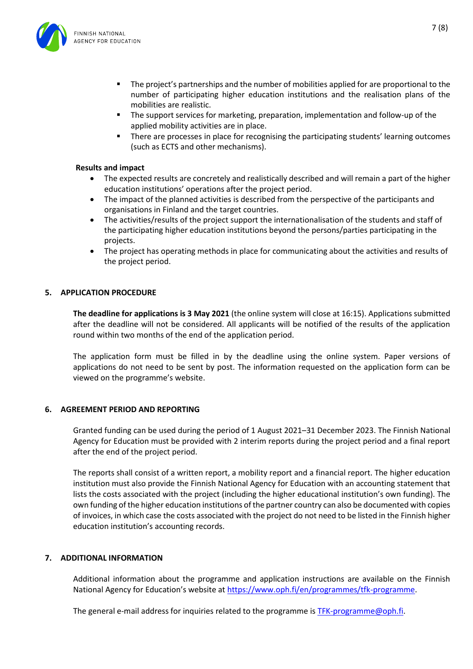



- The project's partnerships and the number of mobilities applied for are proportional to the number of participating higher education institutions and the realisation plans of the mobilities are realistic.
- The support services for marketing, preparation, implementation and follow-up of the applied mobility activities are in place.
- There are processes in place for recognising the participating students' learning outcomes (such as ECTS and other mechanisms).

#### **Results and impact**

- The expected results are concretely and realistically described and will remain a part of the higher education institutions' operations after the project period.
- The impact of the planned activities is described from the perspective of the participants and organisations in Finland and the target countries.
- The activities/results of the project support the internationalisation of the students and staff of the participating higher education institutions beyond the persons/parties participating in the projects.
- The project has operating methods in place for communicating about the activities and results of the project period.

#### <span id="page-6-0"></span>**5. APPLICATION PROCEDURE**

**The deadline for applications is 3 May 2021** (the online system will close at 16:15). Applications submitted after the deadline will not be considered. All applicants will be notified of the results of the application round within two months of the end of the application period.

The application form must be filled in by the deadline using the online system. Paper versions of applications do not need to be sent by post. The information requested on the application form can be viewed on the programme's website.

#### <span id="page-6-1"></span>**6. AGREEMENT PERIOD AND REPORTING**

Granted funding can be used during the period of 1 August 2021–31 December 2023. The Finnish National Agency for Education must be provided with 2 interim reports during the project period and a final report after the end of the project period.

The reports shall consist of a written report, a mobility report and a financial report. The higher education institution must also provide the Finnish National Agency for Education with an accounting statement that lists the costs associated with the project (including the higher educational institution's own funding). The own funding of the higher education institutions of the partner country can also be documented with copies of invoices, in which case the costs associated with the project do not need to be listed in the Finnish higher education institution's accounting records.

#### <span id="page-6-2"></span>**7. ADDITIONAL INFORMATION**

Additional information about the programme and application instructions are available on the Finnish National Agency for Education's website at [https://www.oph.fi/en/programmes/tfk-programme.](https://www.oph.fi/en/programmes/tfk-programme)

The general e-mail address for inquiries related to the programme is **TFK-programme@oph.fi**.